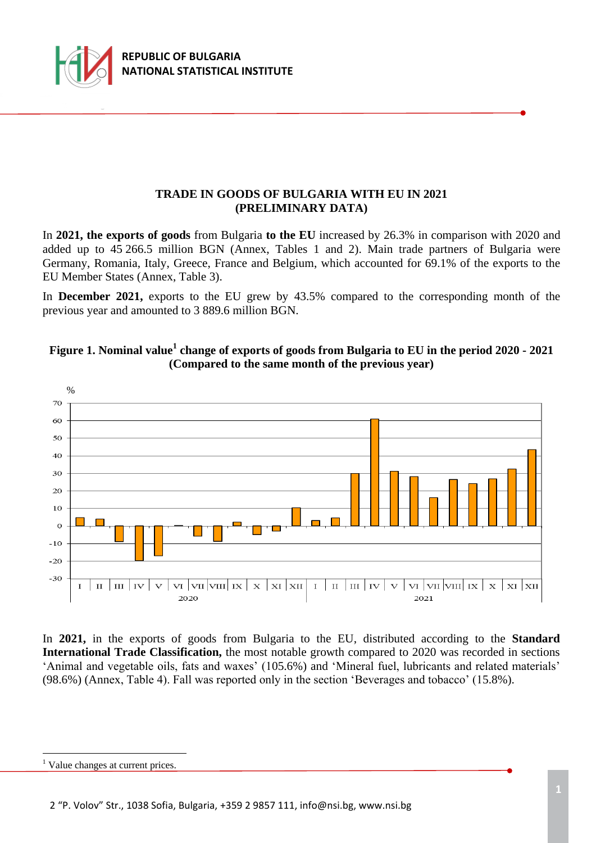

### **TRADE IN GOODS OF BULGARIA WITH EU IN 2021 (PRELIMINARY DATA)**

In **2021, the exports of goods** from Bulgaria **to the EU** increased by 26.3% in comparison with 2020 and added up to 45 266.5 million BGN (Annex, Tables 1 and 2). Main trade partners of Bulgaria were Germany, Romania, Italy, Greece, France and Belgium, which accounted for 69.1% of the exports to the EU Member States (Annex, Table 3).

In **December 2021,** exports to the EU grew by 43.5% compared to the corresponding month of the previous year and amounted to 3 889.6 million BGN.





In **2021,** in the exports of goods from Bulgaria to the EU, distributed according to the **Standard International Trade Classification,** the most notable growth compared to 2020 was recorded in sections 'Animal and vegetable oils, fats and waxes' (105.6%) and 'Mineral fuel, lubricants and related materials' (98.6%) (Annex, Table 4). Fall was reported only in the section 'Beverages and tobacco' (15.8%).

÷.

<sup>&</sup>lt;sup>1</sup> Value changes at current prices.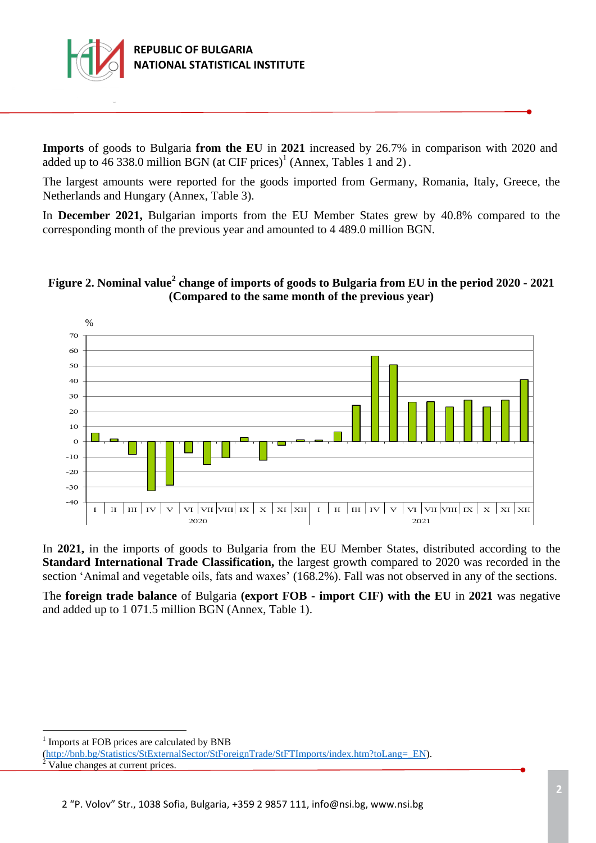

**Imports** of goods to Bulgaria **from the EU** in **2021** increased by 26.7% in comparison with 2020 and added up to  $\overline{46}$  338.0 million BGN (at CIF prices)<sup>1</sup> (Annex, Tables 1 and 2).

The largest amounts were reported for the goods imported from Germany, Romania, Italy, Greece, the Netherlands and Hungary (Annex, Table 3).

In **December 2021,** Bulgarian imports from the EU Member States grew by 40.8% compared to the corresponding month of the previous year and amounted to 4 489.0 million BGN.

# **Figure 2. Nominal value<sup>2</sup> change of imports of goods to Bulgaria from EU in the period 2020 - 2021 (Compared to the same month of the previous year)**



In **2021,** in the imports of goods to Bulgaria from the EU Member States, distributed according to the **Standard International Trade Classification,** the largest growth compared to 2020 was recorded in the section 'Animal and vegetable oils, fats and waxes' (168.2%). Fall was not observed in any of the sections.

The **foreign trade balance** of Bulgaria **(export FOB - import CIF) with the EU** in **2021** was negative and added up to 1 071.5 million BGN (Annex, Table 1).

÷.

<sup>&</sup>lt;sup>1</sup> Imports at FOB prices are calculated by BNB

[<sup>\(</sup>http://bnb.bg/Statistics/StExternalSector/StForeignTrade/StFTImports/index.htm?toLang=\\_EN\)](http://bnb.bg/Statistics/StExternalSector/StForeignTrade/StFTImports/index.htm?toLang=_EN). Value changes at current prices.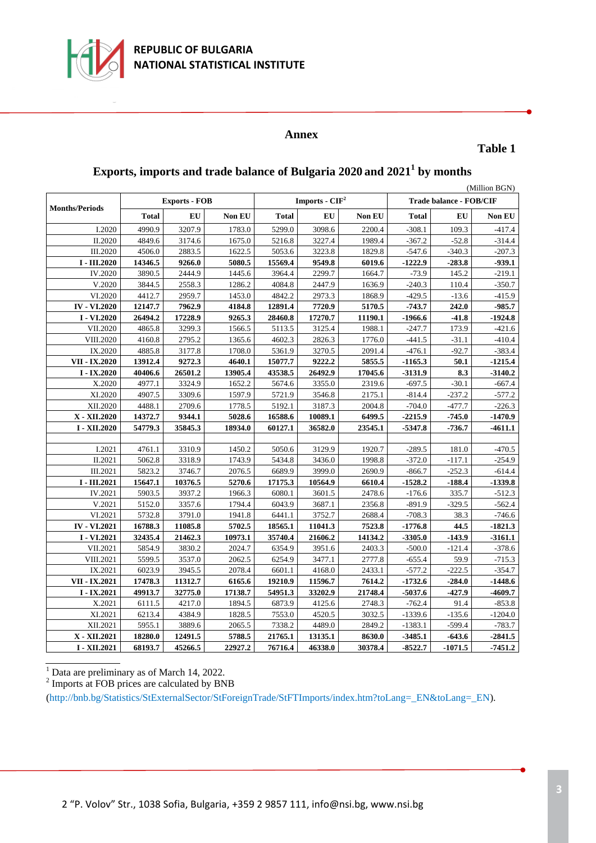

#### **Annex**

**Table 1**

| (Million BGN)         |              |                      |         |              |                  |               |                                |           |           |  |
|-----------------------|--------------|----------------------|---------|--------------|------------------|---------------|--------------------------------|-----------|-----------|--|
|                       |              | <b>Exports - FOB</b> |         |              | Imports - $CIF2$ |               | <b>Trade balance - FOB/CIF</b> |           |           |  |
| <b>Months/Periods</b> | <b>Total</b> | EU                   | Non EU  | <b>Total</b> | EU               | <b>Non EU</b> | <b>Total</b>                   | EU        | Non EU    |  |
| I.2020                | 4990.9       | 3207.9               | 1783.0  | 5299.0       | 3098.6           | 2200.4        | $-308.1$                       | 109.3     | $-417.4$  |  |
| II.2020               | 4849.6       | 3174.6               | 1675.0  | 5216.8       | 3227.4           | 1989.4        | $-367.2$                       | $-52.8$   | $-314.4$  |  |
| III.2020              | 4506.0       | 2883.5               | 1622.5  | 5053.6       | 3223.8           | 1829.8        | $-547.6$                       | $-340.3$  | $-207.3$  |  |
| I - III.2020          | 14346.5      | 9266.0               | 5080.5  | 15569.4      | 9549.8           | 6019.6        | $-1222.9$                      | $-283.8$  | $-939.1$  |  |
| IV.2020               | 3890.5       | 2444.9               | 1445.6  | 3964.4       | 2299.7           | 1664.7        | $-73.9$                        | 145.2     | $-219.1$  |  |
| V.2020                | 3844.5       | 2558.3               | 1286.2  | 4084.8       | 2447.9           | 1636.9        | $-240.3$                       | 110.4     | $-350.7$  |  |
| VI.2020               | 4412.7       | 2959.7               | 1453.0  | 4842.2       | 2973.3           | 1868.9        | $-429.5$                       | $-13.6$   | $-415.9$  |  |
| <b>IV - VI.2020</b>   | 12147.7      | 7962.9               | 4184.8  | 12891.4      | 7720.9           | 5170.5        | $-743.7$                       | 242.0     | $-985.7$  |  |
| I - VI.2020           | 26494.2      | 17228.9              | 9265.3  | 28460.8      | 17270.7          | 11190.1       | $-1966.6$                      | $-41.8$   | $-1924.8$ |  |
| VII.2020              | 4865.8       | 3299.3               | 1566.5  | 5113.5       | 3125.4           | 1988.1        | $-247.7$                       | 173.9     | $-421.6$  |  |
| VIII.2020             | 4160.8       | 2795.2               | 1365.6  | 4602.3       | 2826.3           | 1776.0        | $-441.5$                       | $-31.1$   | $-410.4$  |  |
| IX.2020               | 4885.8       | 3177.8               | 1708.0  | 5361.9       | 3270.5           | 2091.4        | $-476.1$                       | $-92.7$   | $-383.4$  |  |
| VII - IX.2020         | 13912.4      | 9272.3               | 4640.1  | 15077.7      | 9222.2           | 5855.5        | $-1165.3$                      | 50.1      | $-1215.4$ |  |
| $I - IX.2020$         | 40406.6      | 26501.2              | 13905.4 | 43538.5      | 26492.9          | 17045.6       | $-3131.9$                      | 8.3       | $-3140.2$ |  |
| X.2020                | 4977.1       | 3324.9               | 1652.2  | 5674.6       | 3355.0           | 2319.6        | $-697.5$                       | $-30.1$   | $-667.4$  |  |
| XI.2020               | 4907.5       | 3309.6               | 1597.9  | 5721.9       | 3546.8           | 2175.1        | $-814.4$                       | $-237.2$  | $-577.2$  |  |
| XII.2020              | 4488.1       | 2709.6               | 1778.5  | 5192.1       | 3187.3           | 2004.8        | $-704.0$                       | $-477.7$  | $-226.3$  |  |
| X - XII.2020          | 14372.7      | 9344.1               | 5028.6  | 16588.6      | 10089.1          | 6499.5        | $-2215.9$                      | $-745.0$  | $-1470.9$ |  |
| I - XII.2020          | 54779.3      | 35845.3              | 18934.0 | 60127.1      | 36582.0          | 23545.1       | $-5347.8$                      | $-736.7$  | $-4611.1$ |  |
|                       |              |                      |         |              |                  |               |                                |           |           |  |
| I.2021                | 4761.1       | 3310.9               | 1450.2  | 5050.6       | 3129.9           | 1920.7        | $-289.5$                       | 181.0     | $-470.5$  |  |
| II.2021               | 5062.8       | 3318.9               | 1743.9  | 5434.8       | 3436.0           | 1998.8        | $-372.0$                       | $-117.1$  | $-254.9$  |  |
| III.2021              | 5823.2       | 3746.7               | 2076.5  | 6689.9       | 3999.0           | 2690.9        | $-866.7$                       | $-252.3$  | $-614.4$  |  |
| I - III.2021          | 15647.1      | 10376.5              | 5270.6  | 17175.3      | 10564.9          | 6610.4        | $-1528.2$                      | $-188.4$  | $-1339.8$ |  |
| IV.2021               | 5903.5       | 3937.2               | 1966.3  | 6080.1       | 3601.5           | 2478.6        | $-176.6$                       | 335.7     | $-512.3$  |  |
| V.2021                | 5152.0       | 3357.6               | 1794.4  | 6043.9       | 3687.1           | 2356.8        | $-891.9$                       | $-329.5$  | $-562.4$  |  |
| VI.2021               | 5732.8       | 3791.0               | 1941.8  | 6441.1       | 3752.7           | 2688.4        | $-708.3$                       | 38.3      | $-746.6$  |  |
| <b>IV - VI.2021</b>   | 16788.3      | 11085.8              | 5702.5  | 18565.1      | 11041.3          | 7523.8        | $-1776.8$                      | 44.5      | $-1821.3$ |  |
| I - VI.2021           | 32435.4      | 21462.3              | 10973.1 | 35740.4      | 21606.2          | 14134.2       | $-3305.0$                      | $-143.9$  | $-3161.1$ |  |
| VII.2021              | 5854.9       | 3830.2               | 2024.7  | 6354.9       | 3951.6           | 2403.3        | $-500.0$                       | $-121.4$  | $-378.6$  |  |
| VIII.2021             | 5599.5       | 3537.0               | 2062.5  | 6254.9       | 3477.1           | 2777.8        | $-655.4$                       | 59.9      | $-715.3$  |  |
| IX.2021               | 6023.9       | 3945.5               | 2078.4  | 6601.1       | 4168.0           | 2433.1        | $-577.2$                       | $-222.5$  | $-354.7$  |  |
| VII - IX.2021         | 17478.3      | 11312.7              | 6165.6  | 19210.9      | 11596.7          | 7614.2        | $-1732.6$                      | $-284.0$  | $-1448.6$ |  |
| $I - IX.2021$         | 49913.7      | 32775.0              | 17138.7 | 54951.3      | 33202.9          | 21748.4       | $-5037.6$                      | $-427.9$  | -4609.7   |  |
| X.2021                | 6111.5       | 4217.0               | 1894.5  | 6873.9       | 4125.6           | 2748.3        | $-762.4$                       | 91.4      | $-853.8$  |  |
| XI.2021               | 6213.4       | 4384.9               | 1828.5  | 7553.0       | 4520.5           | 3032.5        | $-1339.6$                      | $-135.6$  | $-1204.0$ |  |
| XII.2021              | 5955.1       | 3889.6               | 2065.5  | 7338.2       | 4489.0           | 2849.2        | $-1383.1$                      | $-599.4$  | $-783.7$  |  |
| X - XII.2021          | 18280.0      | 12491.5              | 5788.5  | 21765.1      | 13135.1          | 8630.0        | $-3485.1$                      | $-643.6$  | $-2841.5$ |  |
| I - XII.2021          | 68193.7      | 45266.5              | 22927.2 | 76716.4      | 46338.0          | 30378.4       | $-8522.7$                      | $-1071.5$ | $-7451.2$ |  |

# **Exports, imports and trade balance of Bulgaria 2020 and 2021<sup>1</sup> by months**

<sup>1</sup> Data are preliminary as of March 14, 2022.<br><sup>2</sup> Imports at FOB prices are calculated by BNB

(http://bnb.bg/Statistics/StExternalSector/StForeignTrade/StFTImports/index.htm?toLang=\_EN&toLang=\_EN).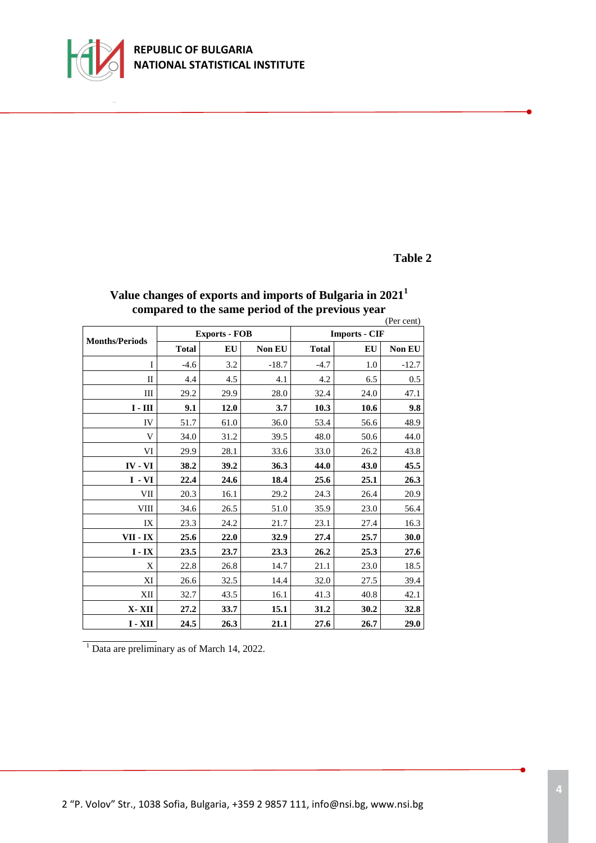

### **REPUBLIC OF BULGARIA NATIONAL STATISTICAL INSTITUTE**

### **Table 2**

|                               |              |                      |         |                      |      | (Per cent) |  |  |
|-------------------------------|--------------|----------------------|---------|----------------------|------|------------|--|--|
|                               |              | <b>Exports - FOB</b> |         | <b>Imports - CIF</b> |      |            |  |  |
| <b>Months/Periods</b>         | <b>Total</b> | <b>EU</b>            | Non EU  | <b>Total</b>         | EU   | Non EU     |  |  |
| I                             | $-4.6$       | 3.2                  | $-18.7$ | $-4.7$               | 1.0  | $-12.7$    |  |  |
| $_{\rm II}$                   | 4.4          | 4.5                  | 4.1     | 4.2                  | 6.5  | 0.5        |  |  |
| Ш                             | 29.2         | 29.9                 | 28.0    | 32.4                 | 24.0 | 47.1       |  |  |
| $\mathbf{I}$ - $\mathbf{III}$ | 9.1          | 12.0                 | 3.7     | 10.3                 | 10.6 | 9.8        |  |  |
| IV                            | 51.7         | 61.0                 | 36.0    | 53.4                 | 56.6 | 48.9       |  |  |
| V                             | 34.0         | 31.2                 | 39.5    | 48.0                 | 50.6 | 44.0       |  |  |
| VI                            | 29.9         | 28.1                 | 33.6    | 33.0                 | 26.2 | 43.8       |  |  |
| $IV - VI$                     | 38.2         | 39.2                 | 36.3    | 44.0                 | 43.0 | 45.5       |  |  |
| $I - VI$                      | 22.4         | 24.6                 | 18.4    | 25.6                 | 25.1 | 26.3       |  |  |
| VII                           | 20.3         | 16.1                 | 29.2    | 24.3                 | 26.4 | 20.9       |  |  |
| VIII                          | 34.6         | 26.5                 | 51.0    | 35.9                 | 23.0 | 56.4       |  |  |
| IX                            | 23.3         | 24.2                 | 21.7    | 23.1                 | 27.4 | 16.3       |  |  |
| VII - IX                      | 25.6         | 22.0                 | 32.9    | 27.4                 | 25.7 | 30.0       |  |  |
| $I - IX$                      | 23.5         | 23.7                 | 23.3    | 26.2                 | 25.3 | 27.6       |  |  |
| X                             | 22.8         | 26.8                 | 14.7    | 21.1                 | 23.0 | 18.5       |  |  |
| XI                            | 26.6         | 32.5                 | 14.4    | 32.0                 | 27.5 | 39.4       |  |  |
| XII                           | 32.7         | 43.5                 | 16.1    | 41.3                 | 40.8 | 42.1       |  |  |
| X-XII                         | 27.2         | 33.7                 | 15.1    | 31.2                 | 30.2 | 32.8       |  |  |
| $I - XII$                     | 24.5         | 26.3                 | 21.1    | 27.6                 | 26.7 | 29.0       |  |  |

# **Value changes of exports and imports of Bulgaria in 2021<sup>1</sup> compared to the same period of the previous year**

 $\frac{1}{1}$  Data are preliminary as of March 14, 2022.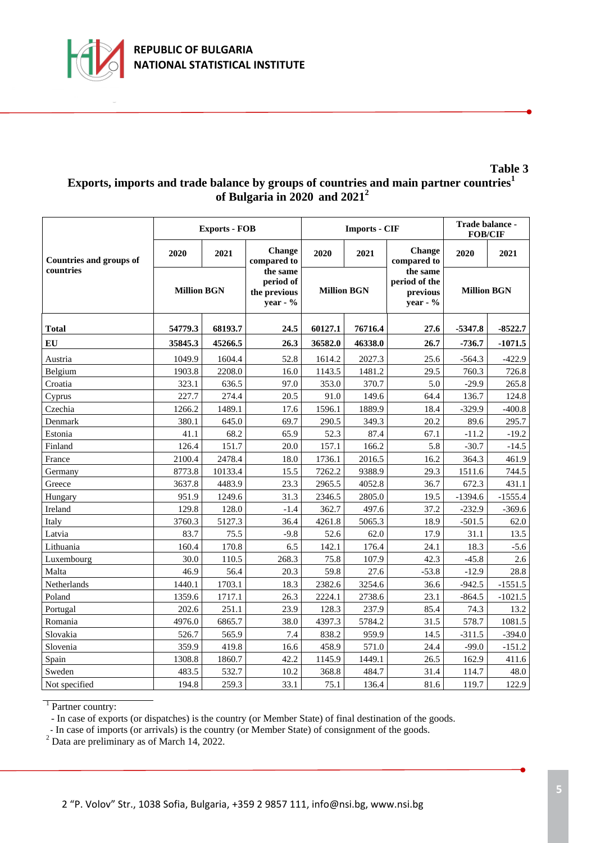

#### **Table 3 Exports, imports and trade balance by groups of countries and main partner countries<sup>1</sup> of Bulgaria in 2020 and 2021<sup>2</sup>**

|                                             |                    | <b>Exports - FOB</b> |                                                   |                    | <b>Imports - CIF</b> | Trade balance -<br><b>FOB/CIF</b>                 |                    |           |
|---------------------------------------------|--------------------|----------------------|---------------------------------------------------|--------------------|----------------------|---------------------------------------------------|--------------------|-----------|
| <b>Countries and groups of</b><br>countries | 2020               | 2021                 | Change<br>compared to                             | 2020               | 2021                 | Change<br>compared to                             | 2020               | 2021      |
|                                             | <b>Million BGN</b> |                      | the same<br>period of<br>the previous<br>year - % | <b>Million BGN</b> |                      | the same<br>period of the<br>previous<br>year - % | <b>Million BGN</b> |           |
| <b>Total</b>                                | 68193.7<br>54779.3 |                      | 24.5                                              | 60127.1            | 76716.4              | 27.6                                              | $-5347.8$          | $-8522.7$ |
| EU                                          | 35845.3            | 45266.5              | 26.3                                              | 36582.0            | 46338.0              | 26.7                                              | $-736.7$           | $-1071.5$ |
| Austria                                     | 1049.9             | 1604.4               | 52.8                                              | 1614.2             | 2027.3               | 25.6                                              | $-564.3$           | $-422.9$  |
| Belgium                                     | 1903.8             | 2208.0               | 16.0                                              | 1143.5             | 1481.2               | 29.5                                              | 760.3              | 726.8     |
| Croatia                                     | 323.1              | 636.5                | 97.0                                              | 353.0              | 370.7                | 5.0                                               | $-29.9$            | 265.8     |
| Cyprus                                      | 227.7              | 274.4                | 20.5                                              | 91.0               | 149.6                | 64.4                                              | 136.7              | 124.8     |
| Czechia                                     | 1266.2             | 1489.1               | 17.6                                              | 1596.1             | 1889.9               | 18.4                                              | $-329.9$           | $-400.8$  |
| Denmark                                     | 380.1              | 645.0                | 69.7                                              | 290.5              | 349.3                | 20.2                                              | 89.6               | 295.7     |
| Estonia                                     | 41.1               | 68.2                 | 65.9                                              | 52.3               | 87.4                 | 67.1                                              | $-11.2$            | $-19.2$   |
| Finland                                     | 126.4              | 151.7                | 20.0                                              | 157.1              | 166.2                | 5.8                                               | $-30.7$            | $-14.5$   |
| France                                      | 2100.4             | 2478.4               | 18.0                                              | 1736.1             | 2016.5               | 16.2                                              | 364.3              | 461.9     |
| Germany                                     | 8773.8             | 10133.4              | 15.5                                              | 7262.2             | 9388.9               | 29.3                                              | 1511.6             | 744.5     |
| Greece                                      | 3637.8             | 4483.9               | 23.3                                              | 2965.5             | 4052.8               | 36.7                                              | 672.3              | 431.1     |
| Hungary                                     | 951.9              | 1249.6               | 31.3                                              | 2346.5             | 2805.0               | 19.5                                              | $-1394.6$          | $-1555.4$ |
| Ireland                                     | 129.8              | 128.0                | $-1.4$                                            | 362.7              | 497.6                | 37.2                                              | $-232.9$           | $-369.6$  |
| Italy                                       | 3760.3             | 5127.3               | 36.4                                              | 4261.8             | 5065.3               | 18.9                                              | $-501.5$           | 62.0      |
| Latvia                                      | 83.7               | 75.5                 | $-9.8$                                            | 52.6               | 62.0                 | 17.9                                              | 31.1               | 13.5      |
| Lithuania                                   | 160.4              | 170.8                | 6.5                                               | 142.1              | 176.4                | 24.1                                              | 18.3               | $-5.6$    |
| Luxembourg                                  | 30.0               | 110.5                | 268.3                                             | 75.8               | 107.9                | 42.3                                              | $-45.8$            | 2.6       |
| Malta                                       | 46.9               | 56.4                 | 20.3                                              | 59.8               | 27.6                 | $-53.8$                                           | $-12.9$            | 28.8      |
| Netherlands                                 | 1440.1             | 1703.1               | 18.3                                              | 2382.6             | 3254.6               | 36.6                                              | $-942.5$           | $-1551.5$ |
| Poland                                      | 1359.6             | 1717.1               | 26.3                                              | 2224.1             | 2738.6               | 23.1                                              | $-864.5$           | $-1021.5$ |
| Portugal                                    | 202.6              | 251.1                | 23.9                                              | 128.3              | 237.9                | 85.4                                              | 74.3               | 13.2      |
| Romania                                     | 4976.0             | 6865.7               | 38.0                                              | 4397.3             | 5784.2               | 31.5                                              | 578.7              | 1081.5    |
| Slovakia                                    | 526.7              | 565.9                | 7.4                                               | 838.2              | 959.9                | 14.5                                              | $-311.5$           | $-394.0$  |
| Slovenia                                    | 359.9              | 419.8                | 16.6                                              | 458.9              | 571.0                | 24.4                                              | $-99.0$            | $-151.2$  |
| Spain                                       | 1308.8             | 1860.7               | 42.2                                              | 1145.9             | 1449.1               | 26.5                                              | 162.9              | 411.6     |
| Sweden                                      | 483.5              | 532.7                | 10.2                                              | 368.8              | 484.7                | 31.4                                              | 114.7              | 48.0      |
| Not specified                               | 194.8              | 259.3                | 33.1                                              | 75.1               | 136.4                | 81.6                                              | 119.7              | 122.9     |

<sup>1</sup> Partner country:

- In case of exports (or dispatches) is the country (or Member State) of final destination of the goods.

- In case of imports (or arrivals) is the country (or Member State) of consignment of the goods.

<sup>2</sup> Data are preliminary as of March 14, 2022.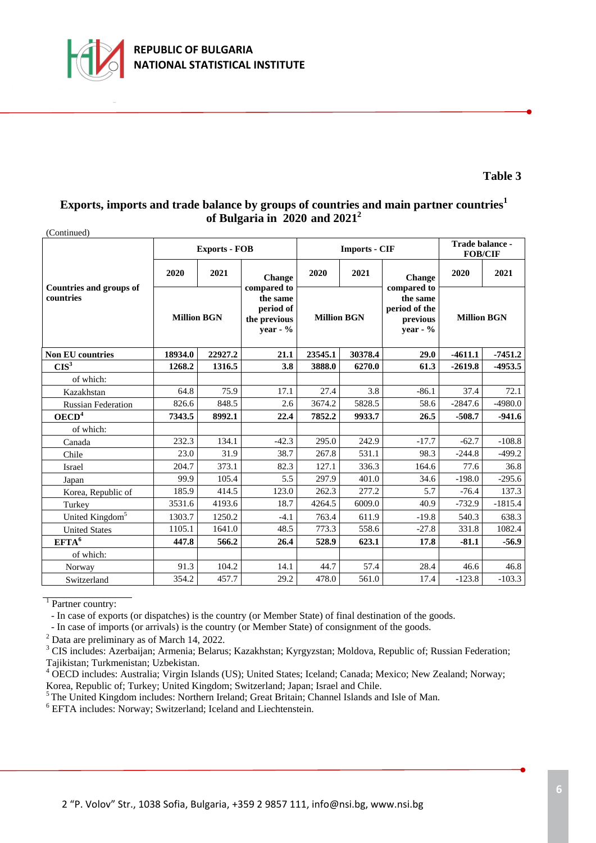

#### **Table 3**

# **Exports, imports and trade balance by groups of countries and main partner countries<sup>1</sup> of Bulgaria in 2020 and 2021<sup>2</sup>**

| (Continued)                                 |                    |                      |                                                                    |                    |                      |                                                                    |                    |           |
|---------------------------------------------|--------------------|----------------------|--------------------------------------------------------------------|--------------------|----------------------|--------------------------------------------------------------------|--------------------|-----------|
|                                             |                    | <b>Exports - FOB</b> |                                                                    |                    | <b>Imports - CIF</b> | Trade balance -<br><b>FOB/CIF</b>                                  |                    |           |
|                                             | 2020               | 2021                 | Change                                                             | 2020               | 2021                 | Change                                                             | 2020               | 2021      |
| <b>Countries and groups of</b><br>countries | <b>Million BGN</b> |                      | compared to<br>the same<br>period of<br>the previous<br>year - $%$ | <b>Million BGN</b> |                      | compared to<br>the same<br>period of the<br>previous<br>year - $%$ | <b>Million BGN</b> |           |
| <b>Non EU countries</b>                     | 18934.0<br>22927.2 |                      | 21.1                                                               | 23545.1            | 30378.4              | 29.0                                                               | $-4611.1$          | $-7451.2$ |
| CIS <sup>3</sup>                            | 1268.2             | 1316.5               | 3.8                                                                | 3888.0             | 6270.0               | 61.3                                                               | $-2619.8$          | $-4953.5$ |
| of which:                                   |                    |                      |                                                                    |                    |                      |                                                                    |                    |           |
| Kazakhstan                                  | 64.8               | 75.9                 | 17.1                                                               | 27.4               | 3.8                  | $-86.1$                                                            | 37.4               | 72.1      |
| <b>Russian Federation</b>                   | 826.6              | 848.5                | 2.6                                                                | 3674.2             | 5828.5               | 58.6                                                               | $-2847.6$          | $-4980.0$ |
| OECD <sup>4</sup>                           | 7343.5             | 8992.1               | 22.4                                                               | 7852.2             | 9933.7               | 26.5                                                               | $-508.7$           | $-941.6$  |
| of which:                                   |                    |                      |                                                                    |                    |                      |                                                                    |                    |           |
| Canada                                      | 232.3              | 134.1                | $-42.3$                                                            | 295.0              | 242.9                | $-17.7$                                                            | $-62.7$            | $-108.8$  |
| Chile                                       | 23.0               | 31.9                 | 38.7                                                               | 267.8              | 531.1                | 98.3                                                               | $-244.8$           | $-499.2$  |
| Israel                                      | 204.7              | 373.1                | 82.3                                                               | 127.1              | 336.3                | 164.6                                                              | 77.6               | 36.8      |
| Japan                                       | 99.9               | 105.4                | 5.5                                                                | 297.9              | 401.0                | 34.6                                                               | $-198.0$           | $-295.6$  |
| Korea, Republic of                          | 185.9              | 414.5                | 123.0                                                              | 262.3              | 277.2                | 5.7                                                                | $-76.4$            | 137.3     |
| Turkey                                      | 3531.6             | 4193.6               | 18.7                                                               | 4264.5             | 6009.0               | 40.9                                                               | $-732.9$           | $-1815.4$ |
| United Kingdom <sup>5</sup>                 | 1303.7             | 1250.2               | $-4.1$                                                             | 763.4              | 611.9                | $-19.8$                                                            | 540.3              | 638.3     |
| <b>United States</b>                        | 1105.1             | 1641.0               | 48.5                                                               | 773.3              | 558.6                | $-27.8$                                                            | 331.8              | 1082.4    |
| EFTA <sup>6</sup>                           | 447.8              | 566.2                | 26.4                                                               | 528.9              | 623.1                | 17.8                                                               | $-81.1$            | $-56.9$   |
| of which:                                   |                    |                      |                                                                    |                    |                      |                                                                    |                    |           |
| Norway                                      | 91.3               | 104.2                | 14.1                                                               | 44.7               | 57.4                 | 28.4                                                               | 46.6               | 46.8      |
| Switzerland                                 | 354.2              | 457.7                | 29.2                                                               | 478.0              | 561.0                | 17.4                                                               | $-123.8$           | $-103.3$  |

<sup>1</sup> Partner country:

- In case of exports (or dispatches) is the country (or Member State) of final destination of the goods.

- In case of imports (or arrivals) is the country (or Member State) of consignment of the goods.

<sup>2</sup> Data are preliminary as of March 14, 2022.

<sup>3</sup> CIS includes: Azerbaijan; Armenia; Belarus; Kazakhstan; Kyrgyzstan; Moldova, Republic of; Russian Federation; Tajikistan; Turkmenistan; Uzbekistan.

<sup>4</sup> OECD includes: Australia; Virgin Islands (US); United States; Iceland; Canada; Mexico; New Zealand; Norway; Korea, Republic of; Turkey; United Kingdom; Switzerland; Japan; Israel and Chile.

<sup>5</sup>The United Kingdom includes: Northern Ireland; Great Britain; Channel Islands and Isle of Man.

<sup>6</sup> EFTA includes: Norway; Switzerland; Iceland and Liechtenstein.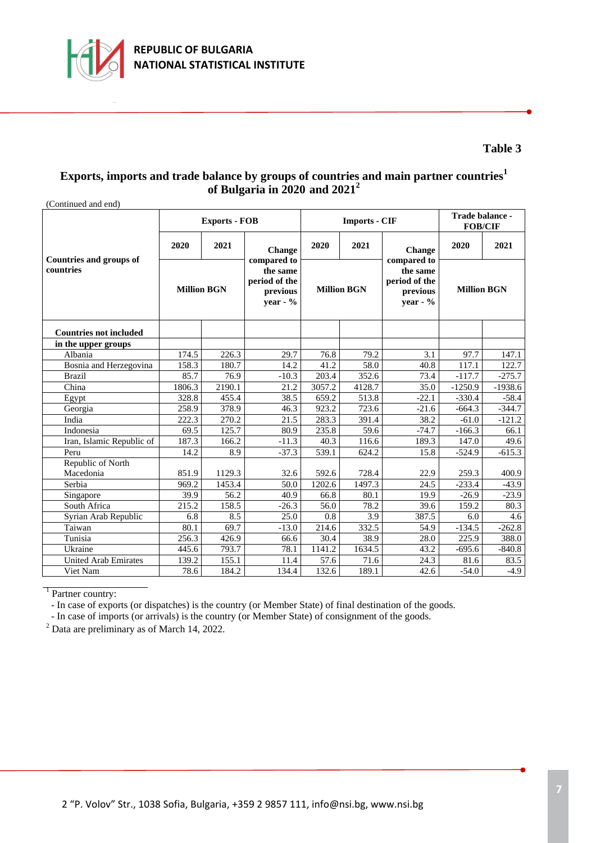

### **Table 3**

### **Exports, imports and trade balance by groups of countries and main partner countries<sup>1</sup> of Bulgaria in 2020 and 2021<sup>2</sup>**

| (Continued and end)                         |                    |                      |                                                                    |                    |                      |                                                                    |                    |           |  |
|---------------------------------------------|--------------------|----------------------|--------------------------------------------------------------------|--------------------|----------------------|--------------------------------------------------------------------|--------------------|-----------|--|
|                                             |                    | <b>Exports - FOB</b> |                                                                    |                    | <b>Imports - CIF</b> | Trade balance -<br><b>FOB/CIF</b>                                  |                    |           |  |
|                                             | 2020               | 2021                 | Change                                                             | 2020               | 2021                 | Change                                                             | 2020               | 2021      |  |
| <b>Countries and groups of</b><br>countries | <b>Million BGN</b> |                      | compared to<br>the same<br>period of the<br>previous<br>vear - $%$ | <b>Million BGN</b> |                      | compared to<br>the same<br>period of the<br>previous<br>vear - $%$ | <b>Million BGN</b> |           |  |
| <b>Countries not included</b>               |                    |                      |                                                                    |                    |                      |                                                                    |                    |           |  |
| in the upper groups                         |                    |                      |                                                                    |                    |                      |                                                                    |                    |           |  |
| Albania                                     | 174.5              | 226.3                | 29.7                                                               | 76.8               | 79.2                 | 3.1                                                                | 97.7               | 147.1     |  |
| Bosnia and Herzegovina                      | 158.3              | 180.7                | 14.2                                                               | 41.2               | 58.0                 | 40.8                                                               | 117.1              | 122.7     |  |
| <b>Brazil</b>                               | 85.7               | 76.9                 | $-10.3$                                                            | 203.4              | 352.6                | 73.4                                                               | $-117.7$           | $-275.7$  |  |
| China                                       | 1806.3             | 2190.1               | 21.2                                                               | 3057.2             | 4128.7               | 35.0                                                               | $-1250.9$          | $-1938.6$ |  |
| Egypt                                       | 328.8              | 455.4                | 38.5                                                               | 659.2              | 513.8                | $-22.1$                                                            | $-330.4$           | $-58.4$   |  |
| Georgia                                     | 258.9              | 378.9                | 46.3                                                               | 923.2              | 723.6                | $-21.6$                                                            | $-664.3$           | $-344.7$  |  |
| India                                       | 222.3              | 270.2                | 21.5                                                               | 283.3              | 391.4                | 38.2                                                               | $-61.0$            | $-121.2$  |  |
| Indonesia                                   | 69.5               | 125.7                | 80.9                                                               | 235.8              | 59.6                 | $-74.7$                                                            | $-166.3$           | 66.1      |  |
| Iran, Islamic Republic of                   | 187.3              | 166.2                | $-11.3$                                                            | 40.3               | 116.6                | 189.3                                                              | 147.0              | 49.6      |  |
| Peru                                        | 14.2               | 8.9                  | $-37.3$                                                            | 539.1              | 624.2                | 15.8                                                               | $-524.9$           | $-615.3$  |  |
| Republic of North                           |                    |                      |                                                                    |                    |                      |                                                                    |                    |           |  |
| Macedonia                                   | 851.9              | 1129.3               | 32.6                                                               | 592.6              | 728.4                | 22.9                                                               | 259.3              | 400.9     |  |
| Serbia                                      | 969.2              | 1453.4               | 50.0                                                               | 1202.6             | 1497.3               | 24.5                                                               | $-233.4$           | $-43.9$   |  |
| Singapore                                   | 39.9               | 56.2                 | 40.9                                                               | 66.8               | 80.1                 | 19.9                                                               | $-26.9$            | $-23.9$   |  |
| South Africa                                | 215.2              | 158.5                | $-26.3$                                                            | 56.0               | 78.2                 | 39.6                                                               | 159.2              | 80.3      |  |
| Syrian Arab Republic                        | 6.8                | 8.5                  | 25.0                                                               | 0.8                | 3.9                  | 387.5                                                              | 6.0                | 4.6       |  |
| Taiwan                                      | 80.1               | 69.7                 | $-13.0$                                                            | 214.6              | 332.5                | 54.9                                                               | $-134.5$           | $-262.8$  |  |
| Tunisia                                     | 256.3              | 426.9                | 66.6                                                               | 30.4               | 38.9                 | 28.0                                                               | 225.9              | 388.0     |  |
| Ukraine                                     | 445.6              | 793.7                | 78.1                                                               | 1141.2             | 1634.5               | 43.2                                                               | $-695.6$           | $-840.8$  |  |
| <b>United Arab Emirates</b>                 | 139.2              | 155.1                | 11.4                                                               | 57.6               | 71.6                 | 24.3                                                               | 81.6               | 83.5      |  |
| Viet Nam                                    | 78.6               | 184.2                | 134.4                                                              | 132.6              | 189.1                | 42.6                                                               | $-54.0$            | $-4.9$    |  |

<sup>1</sup> Partner country:

- In case of exports (or dispatches) is the country (or Member State) of final destination of the goods.

- In case of imports (or arrivals) is the country (or Member State) of consignment of the goods.

 $2$  Data are preliminary as of March 14, 2022.